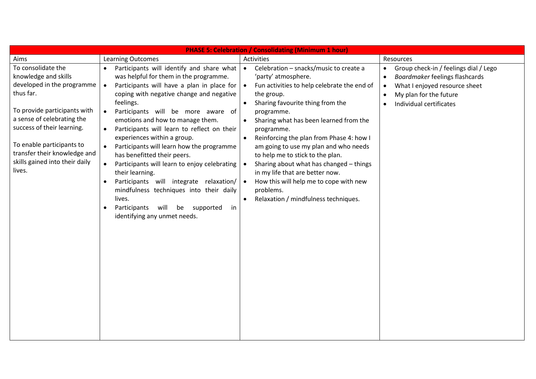| <b>PHASE 5: Celebration / Consolidating (Minimum 1 hour)</b>                                                                                                                                                                                                                               |                                                                                                                                                                                                                                                                                                                                                                                                                                                                                                                                                                                                                                                                                                                                                     |                                                                                                                                                                                                                                                                                                                                                                                                                                                                                                                                                                                                |                                                                                                                                                                                                                   |
|--------------------------------------------------------------------------------------------------------------------------------------------------------------------------------------------------------------------------------------------------------------------------------------------|-----------------------------------------------------------------------------------------------------------------------------------------------------------------------------------------------------------------------------------------------------------------------------------------------------------------------------------------------------------------------------------------------------------------------------------------------------------------------------------------------------------------------------------------------------------------------------------------------------------------------------------------------------------------------------------------------------------------------------------------------------|------------------------------------------------------------------------------------------------------------------------------------------------------------------------------------------------------------------------------------------------------------------------------------------------------------------------------------------------------------------------------------------------------------------------------------------------------------------------------------------------------------------------------------------------------------------------------------------------|-------------------------------------------------------------------------------------------------------------------------------------------------------------------------------------------------------------------|
| Aims                                                                                                                                                                                                                                                                                       | <b>Learning Outcomes</b>                                                                                                                                                                                                                                                                                                                                                                                                                                                                                                                                                                                                                                                                                                                            | Activities                                                                                                                                                                                                                                                                                                                                                                                                                                                                                                                                                                                     | Resources                                                                                                                                                                                                         |
| To consolidate the<br>knowledge and skills<br>developed in the programme<br>thus far.<br>To provide participants with<br>a sense of celebrating the<br>success of their learning.<br>To enable participants to<br>transfer their knowledge and<br>skills gained into their daily<br>lives. | Participants will identify and share what<br>$\bullet$<br>was helpful for them in the programme.<br>Participants will have a plan in place for<br>coping with negative change and negative<br>feelings.<br>Participants will be more aware of<br>$\bullet$<br>emotions and how to manage them.<br>Participants will learn to reflect on their<br>$\bullet$<br>experiences within a group.<br>Participants will learn how the programme<br>has benefitted their peers.<br>Participants will learn to enjoy celebrating<br>their learning.<br>Participants will integrate relaxation/<br>$\bullet$<br>mindfulness techniques into their daily<br>lives.<br>Participants<br>will<br>supported<br>in<br>be<br>$\bullet$<br>identifying any unmet needs. | Celebration - snacks/music to create a<br>$\bullet$<br>'party' atmosphere.<br>Fun activities to help celebrate the end of<br>the group.<br>Sharing favourite thing from the<br>$\bullet$<br>programme.<br>Sharing what has been learned from the<br>programme.<br>Reinforcing the plan from Phase 4: how I<br>$\bullet$<br>am going to use my plan and who needs<br>to help me to stick to the plan.<br>Sharing about what has changed - things<br>in my life that are better now.<br>How this will help me to cope with new<br>$\bullet$<br>problems.<br>Relaxation / mindfulness techniques. | Group check-in / feelings dial / Lego<br>$\bullet$<br>Boardmaker feelings flashcards<br>$\bullet$<br>What I enjoyed resource sheet<br>$\bullet$<br>My plan for the future<br>$\bullet$<br>Individual certificates |
|                                                                                                                                                                                                                                                                                            |                                                                                                                                                                                                                                                                                                                                                                                                                                                                                                                                                                                                                                                                                                                                                     |                                                                                                                                                                                                                                                                                                                                                                                                                                                                                                                                                                                                |                                                                                                                                                                                                                   |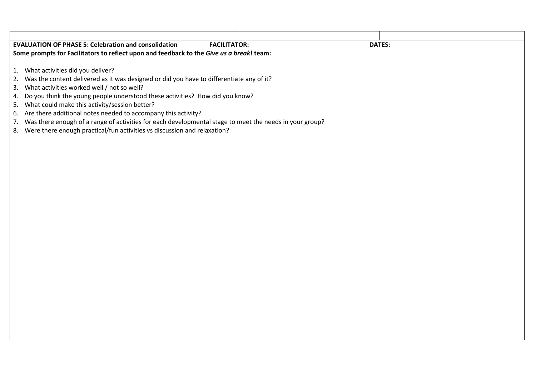|                                                                                          | <b>EVALUATION OF PHASE 5: Celebration and consolidation</b><br><b>FACILITATOR:</b><br><b>DATES:</b>        |  |  |
|------------------------------------------------------------------------------------------|------------------------------------------------------------------------------------------------------------|--|--|
| Some prompts for Facilitators to reflect upon and feedback to the Give us a break! team: |                                                                                                            |  |  |
|                                                                                          |                                                                                                            |  |  |
|                                                                                          | 1. What activities did you deliver?                                                                        |  |  |
|                                                                                          | 2. Was the content delivered as it was designed or did you have to differentiate any of it?                |  |  |
|                                                                                          | 3. What activities worked well / not so well?                                                              |  |  |
|                                                                                          | 4. Do you think the young people understood these activities? How did you know?                            |  |  |
|                                                                                          | 5. What could make this activity/session better?                                                           |  |  |
|                                                                                          | 6. Are there additional notes needed to accompany this activity?                                           |  |  |
|                                                                                          | 7. Was there enough of a range of activities for each developmental stage to meet the needs in your group? |  |  |

8. Were there enough practical/fun activities vs discussion and relaxation?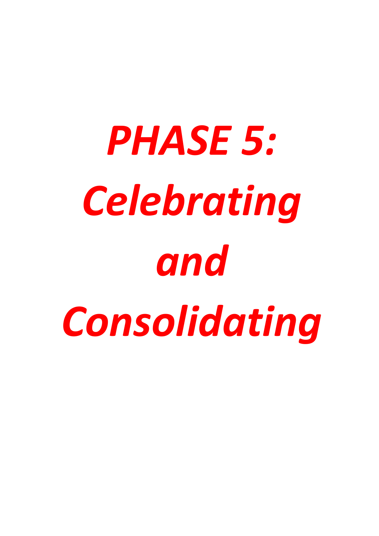# *PHASE 5: Celebrating and Consolidating*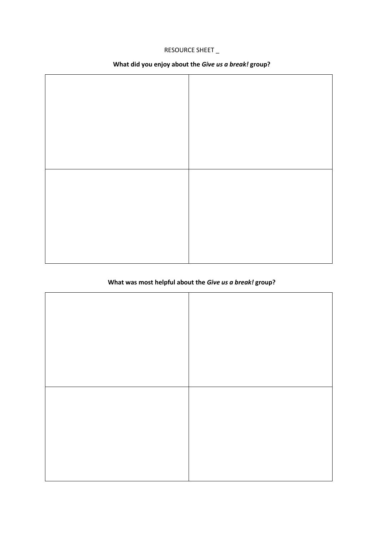# RESOURCE SHEET \_

# **What did you enjoy about the** *Give us a break!* **group?**

# **What was most helpful about the** *Give us a break!* **group?**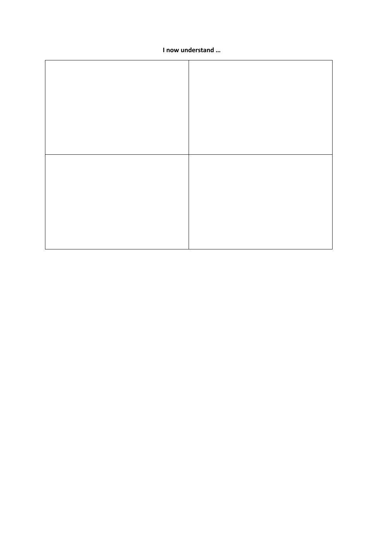#### I now understand ...